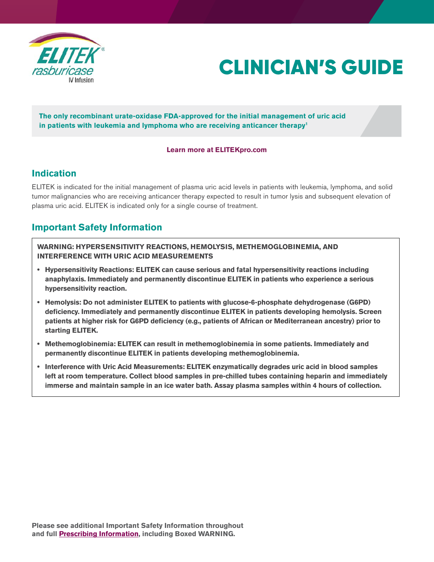

# CLINICIAN'S GUIDE

**The only recombinant urate-oxidase FDA-approved for the initial management of uric acid in patients with leukemia and lymphoma who are receiving anticancer therapy1**

#### **[Learn more at ELITEKpro.com](https://www.elitekpro.com/)**

#### **Indication**

ELITEK is indicated for the initial management of plasma uric acid levels in patients with leukemia, lymphoma, and solid tumor malignancies who are receiving anticancer therapy expected to result in tumor lysis and subsequent elevation of plasma uric acid. ELITEK is indicated only for a single course of treatment.

### **Important Safety Information**

**WARNING: HYPERSENSITIVITY REACTIONS, HEMOLYSIS, METHEMOGLOBINEMIA, AND INTERFERENCE WITH URIC ACID MEASUREMENTS**

- **Hypersensitivity Reactions: ELITEK can cause serious and fatal hypersensitivity reactions including anaphylaxis. Immediately and permanently discontinue ELITEK in patients who experience a serious hypersensitivity reaction.**
- **Hemolysis: Do not administer ELITEK to patients with glucose-6-phosphate dehydrogenase (G6PD) deficiency. Immediately and permanently discontinue ELITEK in patients developing hemolysis. Screen patients at higher risk for G6PD deficiency (e.g., patients of African or Mediterranean ancestry) prior to starting ELITEK.**
- **Methemoglobinemia: ELITEK can result in methemoglobinemia in some patients. Immediately and permanently discontinue ELITEK in patients developing methemoglobinemia.**
- **Interference with Uric Acid Measurements: ELITEK enzymatically degrades uric acid in blood samples left at room temperature. Collect blood samples in pre-chilled tubes containing heparin and immediately immerse and maintain sample in an ice water bath. Assay plasma samples within 4 hours of collection.**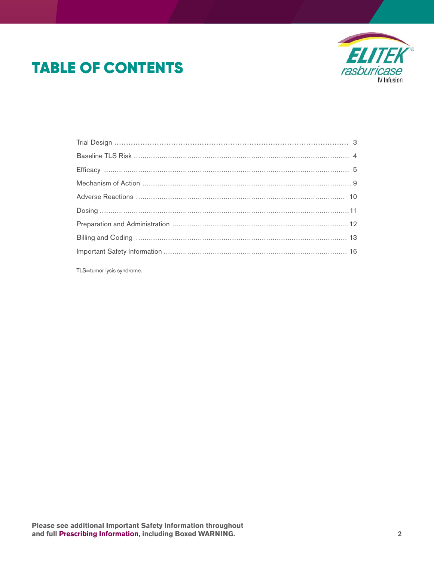# **TABLE OF CONTENTS**



TLS=tumor lysis syndrome.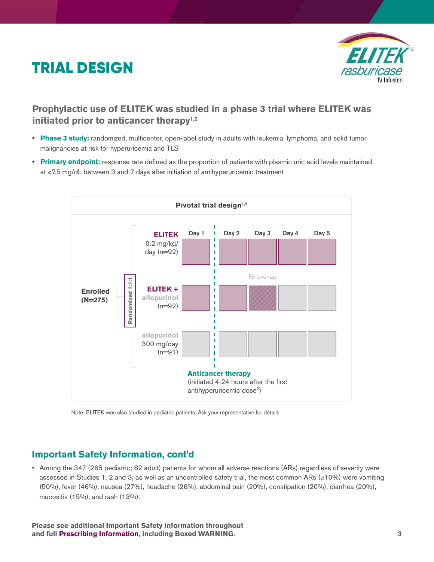# <span id="page-2-0"></span>TRIAL DESIGN



### **Prophylactic use of ELITEK was studied in a phase 3 trial where ELITEK was initiated prior to anticancer therapy1,2**

- **• Phase 3 study:** randomized, multicenter, open-label study in adults with leukemia, lymphoma, and solid tumor malignancies at risk for hyperuricemia and TLS
- **• Primary endpoint:** response rate defined as the proportion of patients with plasmic uric acid levels maintained at ≤7.5 mg/dL between 3 and 7 days after initiation of antihyperuricemic treatment



Note: ELITEK was also studied in pediatric patients. Ask your representative for details.

#### **Important Safety Information, cont'd**

• Among the 347 (265 pediatric; 82 adult) patients for whom all adverse reactions (ARs) regardless of severity were assessed in Studies 1, 2 and 3, as well as an uncontrolled safety trial, the most common ARs (≥10%) were vomiting (50%), fever (46%), nausea (27%), headache (26%), abdominal pain (20%), constipation (20%), diarrhea (20%), mucositis (15%), and rash (13%).

**Please see additional Important Safety Information throughout and ful[l Prescribing Information,](http://products.sanofi.us/elitek/elitek.html) including Boxed WARNING.** 3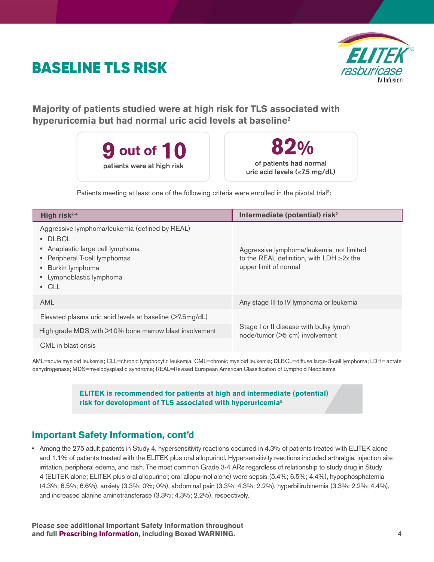# <span id="page-3-0"></span>BASELINE TLS RISK



**Majority of patients studied were at high risk for TLS associated with hyperuricemia but had normal uric acid levels at baseline2**





Patients meeting at least one of the following criteria were enrolled in the pivotal trial<sup>2</sup>:

| High risk <sup>2-4</sup>                                                                                                                                                                          | Intermediate (potential) risk <sup>2</sup>                                                                           |  |  |
|---------------------------------------------------------------------------------------------------------------------------------------------------------------------------------------------------|----------------------------------------------------------------------------------------------------------------------|--|--|
| Aggressive lymphoma/leukemia (defined by REAL)<br>• DLBCL<br>• Anaplastic large cell lymphoma<br>• Peripheral T-cell lymphomas<br>• Burkitt lymphoma<br>• Lymphoblastic lymphoma<br>$\bullet$ CLL | Aggressive lymphoma/leukemia, not limited<br>to the REAL definition, with LDH $\geq$ 2x the<br>upper limit of normal |  |  |
| <b>AML</b>                                                                                                                                                                                        | Any stage III to IV lymphoma or leukemia                                                                             |  |  |
| Elevated plasma uric acid levels at baseline (>7.5mg/dL)                                                                                                                                          |                                                                                                                      |  |  |
| High-grade MDS with >10% bone marrow blast involvement                                                                                                                                            | Stage I or II disease with bulky lymph<br>node/tumor (>5 cm) involvement                                             |  |  |
| CML in blast crisis                                                                                                                                                                               |                                                                                                                      |  |  |

AML=acute myeloid leukemia; CLL=chronic lymphocytic leukemia; CML=chronic myeloid leukemia; DLBCL=diffuse large-B-cell lymphoma; LDH=lactate dehydrogenase; MDS=myelodysplastic syndrome; REAL=Revised European American Classification of Lymphoid Neoplasms.

#### **ELITEK is recommended for patients at high and intermediate (potential) risk for development of TLS associated with hyperuricemia5**

### **Important Safety Information, cont'd**

• Among the 275 adult patients in Study 4, hypersensitivity reactions occurred in 4.3% of patients treated with ELITEK alone and 1.1% of patients treated with the ELITEK plus oral allopurinol. Hypersensitivity reactions included arthralgia, injection site irritation, peripheral edema, and rash. The most common Grade 3-4 ARs regardless of relationship to study drug in Study 4 (ELITEK alone; ELITEK plus oral allopurinol; oral allopurinol alone) were sepsis (5.4%; 6.5%; 4.4%), hypophosphatemia (4.3%; 6.5%; 6.6%), anxiety (3.3%; 0%; 0%), abdominal pain (3.3%; 4.3%; 2.2%), hyperbilirubinemia (3.3%; 2.2%; 4.4%), and increased alanine aminotransferase (3.3%; 4.3%; 2.2%), respectively.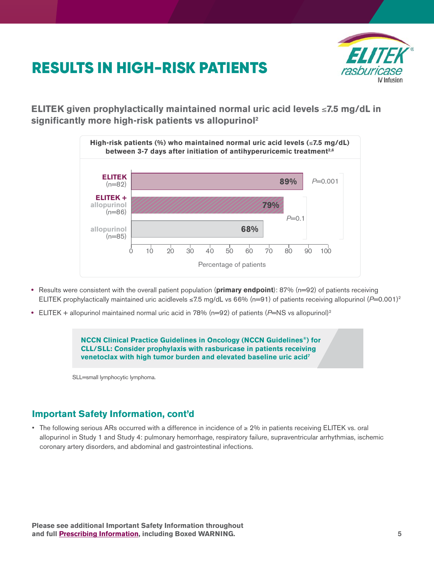# <span id="page-4-0"></span>RESULTS IN HIGH-RISK PATIENTS



**ELITEK given prophylactically maintained normal uric acid levels** ≤**7.5 mg/dL in significantly more high-risk patients vs allopurinol2**



- Results were consistent with the overall patient population (**primary endpoint**): 87% (n=92) of patients receiving ELITEK prophylactically maintained uric acidlevels ≤7.5 mg/dL vs 66% (n=91) of patients receiving allopurinol ( $P=0.001$ )<sup>2</sup>
- ELITEK + allopurinol maintained normal uric acid in 78% (n=92) of patients (P=NS vs allopurinol)<sup>2</sup>

**NCCN Clinical Practice Guidelines in Oncology (NCCN Guidelines®) for CLL/SLL: Consider prophylaxis with rasburicase in patients receiving venetoclax with high tumor burden and elevated baseline uric acid7**

SLL=small lymphocytic lymphoma.

#### **Important Safety Information, cont'd**

• The following serious ARs occurred with a difference in incidence of ≥ 2% in patients receiving ELITEK vs. oral allopurinol in Study 1 and Study 4: pulmonary hemorrhage, respiratory failure, supraventricular arrhythmias, ischemic coronary artery disorders, and abdominal and gastrointestinal infections.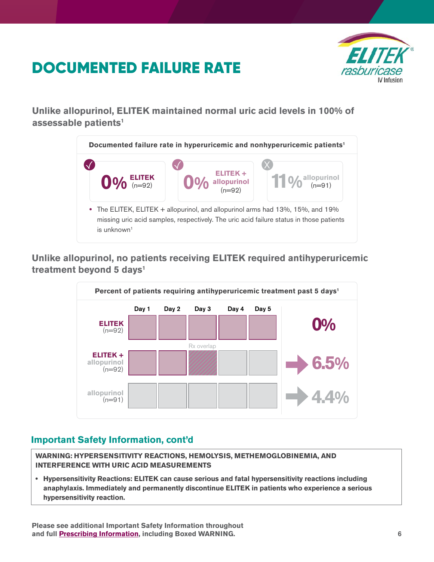# DOCUMENTED FAILURE RATE



**Unlike allopurinol, ELITEK maintained normal uric acid levels in 100% of assessable patients1**



**Unlike allopurinol, no patients receiving ELITEK required antihyperuricemic treatment beyond 5 days1**



# **Important Safety Information, cont'd**

**WARNING: HYPERSENSITIVITY REACTIONS, HEMOLYSIS, METHEMOGLOBINEMIA, AND INTERFERENCE WITH URIC ACID MEASUREMENTS**

**• Hypersensitivity Reactions: ELITEK can cause serious and fatal hypersensitivity reactions including anaphylaxis. Immediately and permanently discontinue ELITEK in patients who experience a serious hypersensitivity reaction.** 

**Please see additional Important Safety Information throughout and full [Prescribing Information,](http://products.sanofi.us/elitek/elitek.html) including Boxed WARNING.** 6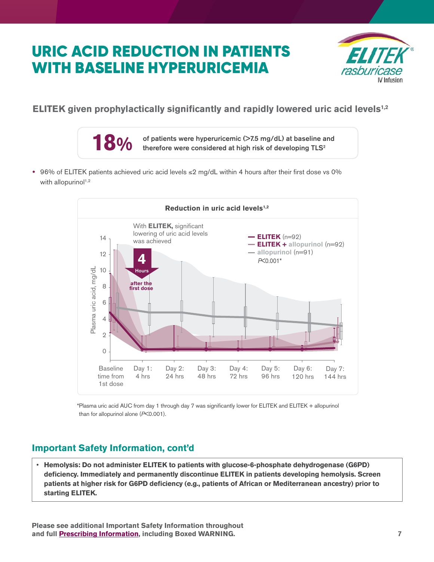# URIC ACID REDUCTION IN PATIENTS WITH BASELINE HYPERURICEMIA



### **ELITEK given prophylactically significantly and rapidly lowered uric acid levels1,2**



**•** 96% of ELITEK patients achieved uric acid levels ≤2 mg/dL within 4 hours after their first dose vs 0% with allopurinol $1,2$ 



\*Plasma uric acid AUC from day 1 through day 7 was significantly lower for ELITEK and ELITEK + allopurinol than for allopurinol alone (*P*<0.001).

# **Important Safety Information, cont'd**

• **Hemolysis: Do not administer ELITEK to patients with glucose-6-phosphate dehydrogenase (G6PD) deficiency. Immediately and permanently discontinue ELITEK in patients developing hemolysis. Screen patients at higher risk for G6PD deficiency (e.g., patients of African or Mediterranean ancestry) prior to starting ELITEK.**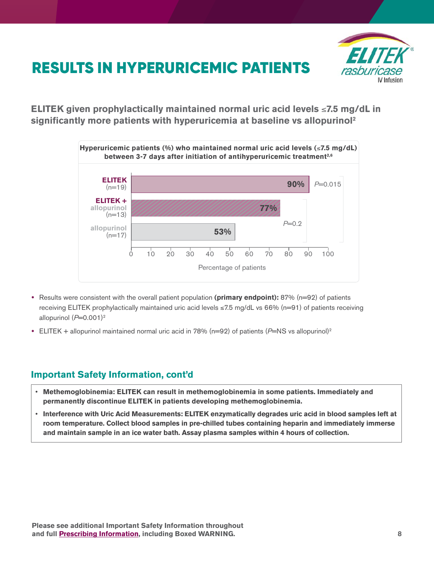

# RESULTS IN HYPERURICEMIC PATIENTS

**ELITEK given prophylactically maintained normal uric acid levels** ≤**7.5 mg/dL in significantly more patients with hyperuricemia at baseline vs allopurinol2**



- Results were consistent with the overall patient population **(primary endpoint):** 87% (n=92) of patients receiving ELITEK prophylactically maintained uric acid levels ≤7.5 mg/dL vs 66% (n=91) of patients receiving allopurinol  $(P=0.001)^2$
- ELITEK + allopurinol maintained normal uric acid in 78% (n=92) of patients (P=NS vs allopurinol)<sup>2</sup>

#### **Important Safety Information, cont'd**

- **Methemoglobinemia: ELITEK can result in methemoglobinemia in some patients. Immediately and permanently discontinue ELITEK in patients developing methemoglobinemia.**
- **Interference with Uric Acid Measurements: ELITEK enzymatically degrades uric acid in blood samples left at room temperature. Collect blood samples in pre-chilled tubes containing heparin and immediately immerse and maintain sample in an ice water bath. Assay plasma samples within 4 hours of collection.**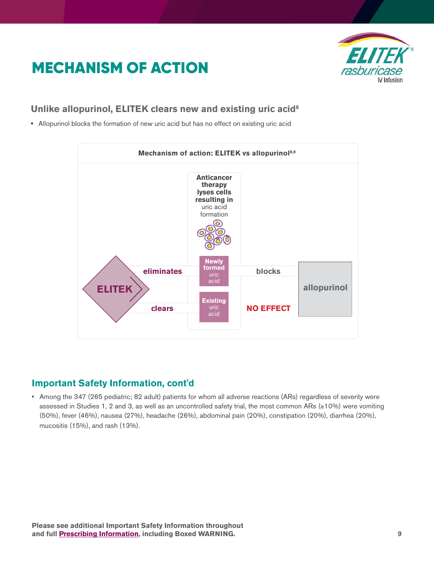# <span id="page-8-0"></span>MECHANISM OF ACTION



### **Unlike allopurinol, ELITEK clears new and existing uric acid8**

**•** Allopurinol blocks the formation of new uric acid but has no effect on existing uric acid



### **Important Safety Information, cont'd**

• Among the 347 (265 pediatric; 82 adult) patients for whom all adverse reactions (ARs) regardless of severity were assessed in Studies 1, 2 and 3, as well as an uncontrolled safety trial, the most common ARs (≥10%) were vomiting (50%), fever (46%), nausea (27%), headache (26%), abdominal pain (20%), constipation (20%), diarrhea (20%), mucositis (15%), and rash (13%).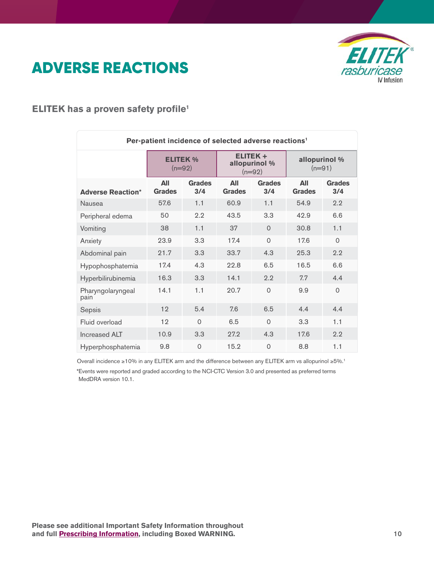# <span id="page-9-0"></span>ADVERSE REACTIONS



### **ELITEK has a proven safety profile1**

| Per-patient incidence of selected adverse reactions <sup>1</sup> |                             |                      |                                             |                      |                           |                      |
|------------------------------------------------------------------|-----------------------------|----------------------|---------------------------------------------|----------------------|---------------------------|----------------------|
|                                                                  | <b>ELITEK %</b><br>$(n=92)$ |                      | <b>ELITEK+</b><br>allopurinol %<br>$(n=92)$ |                      | allopurinol %<br>$(n=91)$ |                      |
| <b>Adverse Reaction*</b>                                         | All<br><b>Grades</b>        | <b>Grades</b><br>3/4 | All<br><b>Grades</b>                        | <b>Grades</b><br>3/4 | All<br><b>Grades</b>      | <b>Grades</b><br>3/4 |
| Nausea                                                           | 57.6                        | 1.1                  | 60.9                                        | 1.1                  | 54.9                      | 2.2                  |
| Peripheral edema                                                 | 50                          | 2.2                  | 43.5                                        | 3.3                  | 42.9                      | 6.6                  |
| Vomiting                                                         | 38                          | 1.1                  | 37                                          | $\Omega$             | 30.8                      | 1.1                  |
| Anxiety                                                          | 23.9                        | 3.3                  | 17.4                                        | $\Omega$             | 17.6                      | $\Omega$             |
| Abdominal pain                                                   | 21.7                        | 3.3                  | 33.7                                        | 4.3                  | 25.3                      | 2.2                  |
| Hypophosphatemia                                                 | 17.4                        | 4.3                  | 22.8                                        | 6.5                  | 16.5                      | 6.6                  |
| Hyperbilirubinemia                                               | 16.3                        | 3.3                  | 14.1                                        | 2.2                  | 7.7                       | 4.4                  |
| Pharyngolaryngeal<br>pain                                        | 14.1                        | 1.1                  | 20.7                                        | $\Omega$             | 9.9                       | $\overline{0}$       |
| Sepsis                                                           | 12                          | 5.4                  | 7.6                                         | 6.5                  | 4.4                       | 4.4                  |
| Fluid overload                                                   | 12                          | $\Omega$             | 6.5                                         | $\Omega$             | 3.3                       | 1.1                  |
| <b>Increased ALT</b>                                             | 10.9                        | 3.3                  | 27.2                                        | 4.3                  | 17.6                      | 2.2                  |
| Hyperphosphatemia                                                | 9.8                         | $\mathbf 0$          | 15.2                                        | $\Omega$             | 8.8                       | 1.1                  |

\*Events were reported and graded according to the NCI-CTC Version 3.0 and presented as preferred terms MedDRA version 10.1. Overall incidence ≥10% in any ELITEK arm and the difference between any ELITEK arm vs allopurinol ≥5%.1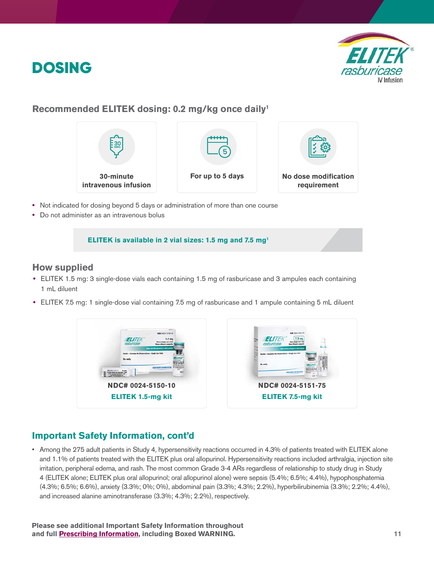<span id="page-10-0"></span>



#### **Recommended ELITEK dosing: 0.2 mg/kg once daily1**



- **•** Not indicated for dosing beyond 5 days or administration of more than one course
- **•** Do not administer as an intravenous bolus

#### **ELITEK is available in 2 vial sizes: 1.5 mg and 7.5 mg1**

#### **How supplied**

- **•** ELITEK 1.5 mg: 3 single-dose vials each containing 1.5 mg of rasburicase and 3 ampules each containing 1 mL diluent
- **•** ELITEK 7.5 mg: 1 single-dose vial containing 7.5 mg of rasburicase and 1 ampule containing 5 mL diluent



#### **Important Safety Information, cont'd**

• Among the 275 adult patients in Study 4, hypersensitivity reactions occurred in 4.3% of patients treated with ELITEK alone and 1.1% of patients treated with the ELITEK plus oral allopurinol. Hypersensitivity reactions included arthralgia, injection site irritation, peripheral edema, and rash. The most common Grade 3-4 ARs regardless of relationship to study drug in Study 4 (ELITEK alone; ELITEK plus oral allopurinol; oral allopurinol alone) were sepsis (5.4%; 6.5%; 4.4%), hypophosphatemia (4.3%; 6.5%; 6.6%), anxiety (3.3%; 0%; 0%), abdominal pain (3.3%; 4.3%; 2.2%), hyperbilirubinemia (3.3%; 2.2%; 4.4%), and increased alanine aminotransferase (3.3%; 4.3%; 2.2%), respectively.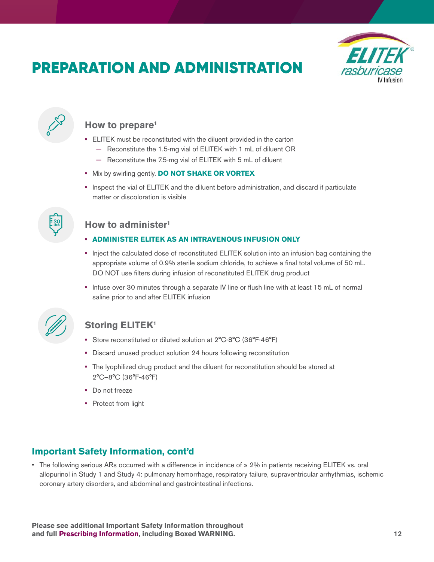# <span id="page-11-0"></span>PREPARATION AND ADMINISTRATION





### **How to prepare1**

- **•** ELITEK must be reconstituted with the diluent provided in the carton
	- **−** Reconstitute the 1.5-mg vial of ELITEK with 1 mL of diluent OR
	- **−** Reconstitute the 7.5-mg vial of ELITEK with 5 mL of diluent
- **•** Mix by swirling gently. **DO NOT SHAKE OR VORTEX**
- **•** Inspect the vial of ELITEK and the diluent before administration, and discard if particulate matter or discoloration is visible



### **How to administer1**

#### **• ADMINISTER ELITEK AS AN INTRAVENOUS INFUSION ONLY**

- **•** Inject the calculated dose of reconstituted ELITEK solution into an infusion bag containing the appropriate volume of 0.9% sterile sodium chloride, to achieve a final total volume of 50 mL. DO NOT use filters during infusion of reconstituted ELITEK drug product
- **•** Infuse over 30 minutes through a separate IV line or flush line with at least 15 mL of normal saline prior to and after ELITEK infusion



### **Storing ELITEK1**

- **•** Store reconstituted or diluted solution at 2°C-8°C (36°F-46°F)
- **•** Discard unused product solution 24 hours following reconstitution
- **•** The lyophilized drug product and the diluent for reconstitution should be stored at 2°C–8°C (36°F-46°F)
- **•** Do not freeze
- **•** Protect from light

### **Important Safety Information, cont'd**

• The following serious ARs occurred with a difference in incidence of ≥ 2% in patients receiving ELITEK vs. oral allopurinol in Study 1 and Study 4: pulmonary hemorrhage, respiratory failure, supraventricular arrhythmias, ischemic coronary artery disorders, and abdominal and gastrointestinal infections.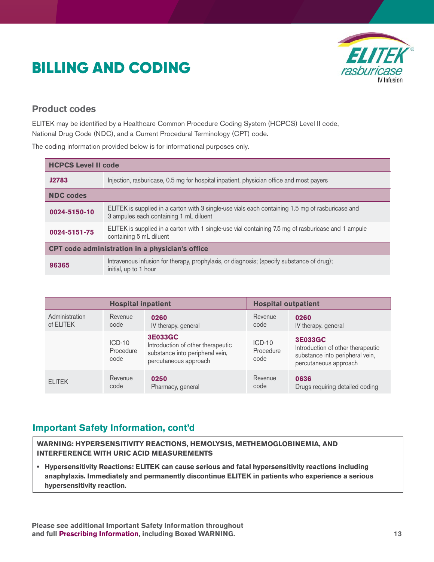# <span id="page-12-0"></span>BILLING AND CODING



#### **Product codes**

ELITEK may be identified by a Healthcare Common Procedure Coding System (HCPCS) Level II code, National Drug Code (NDC), and a Current Procedural Terminology (CPT) code.

The coding information provided below is for informational purposes only.

| <b>HCPCS Level II code</b>                      |                                                                                                                                            |  |
|-------------------------------------------------|--------------------------------------------------------------------------------------------------------------------------------------------|--|
| <b>J2783</b>                                    | Injection, rasburicase, 0.5 mg for hospital inpatient, physician office and most payers                                                    |  |
| <b>NDC codes</b>                                |                                                                                                                                            |  |
| 0024-5150-10                                    | ELITEK is supplied in a carton with 3 single-use vials each containing 1.5 mg of rasburicase and<br>3 ampules each containing 1 mL diluent |  |
| 0024-5151-75                                    | ELITEK is supplied in a carton with 1 single-use vial containing 7.5 mg of rasburicase and 1 ampule<br>containing 5 mL diluent             |  |
| CPT code administration in a physician's office |                                                                                                                                            |  |
| 96365                                           | Intravenous infusion for therapy, prophylaxis, or diagnosis; (specify substance of drug);<br>initial, up to 1 hour                         |  |

| <b>Hospital inpatient</b> |                               |                                                                                                                 | <b>Hospital outpatient</b>    |                                                                                                                 |  |
|---------------------------|-------------------------------|-----------------------------------------------------------------------------------------------------------------|-------------------------------|-----------------------------------------------------------------------------------------------------------------|--|
| Administration            | Revenue                       | 0260                                                                                                            | Revenue                       | 0260                                                                                                            |  |
| of ELITEK                 | code                          | IV therapy, general                                                                                             | code                          | IV therapy, general                                                                                             |  |
|                           | $ICD-10$<br>Procedure<br>code | <b>3E033GC</b><br>Introduction of other therapeutic<br>substance into peripheral vein,<br>percutaneous approach | $ICD-10$<br>Procedure<br>code | <b>3E033GC</b><br>Introduction of other therapeutic<br>substance into peripheral vein,<br>percutaneous approach |  |
| <b>ELITEK</b>             | Revenue                       | 0250                                                                                                            | Revenue                       | 0636                                                                                                            |  |
|                           | code                          | Pharmacy, general                                                                                               | code                          | Drugs requiring detailed coding                                                                                 |  |

### **Important Safety Information, cont'd**

**WARNING: HYPERSENSITIVITY REACTIONS, HEMOLYSIS, METHEMOGLOBINEMIA, AND INTERFERENCE WITH URIC ACID MEASUREMENTS**

**• Hypersensitivity Reactions: ELITEK can cause serious and fatal hypersensitivity reactions including anaphylaxis. Immediately and permanently discontinue ELITEK in patients who experience a serious hypersensitivity reaction.**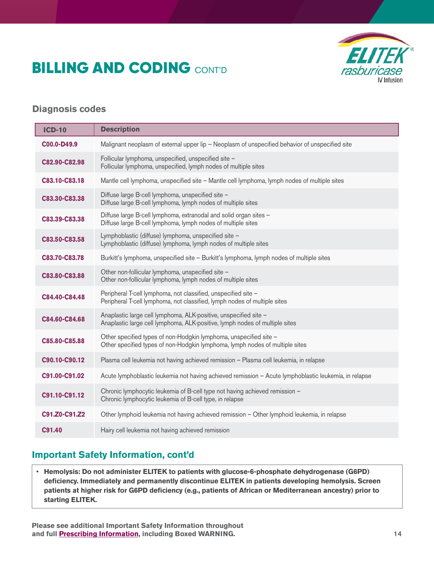# **BILLING AND CODING CONT'D**



#### **Diagnosis codes**

| <b>ICD-10</b> | <b>Description</b>                                                                                                                                |
|---------------|---------------------------------------------------------------------------------------------------------------------------------------------------|
| C00.0-D49.9   | Malignant neoplasm of external upper lip - Neoplasm of unspecified behavior of unspecified site                                                   |
| C82.90-C82.98 | Follicular lymphoma, unspecified, unspecified site -<br>Follicular lymphoma, unspecified, lymph nodes of multiple sites                           |
| C83.10-C83.18 | Mantle cell lymphoma, unspecified site - Mantle cell lymphoma, lymph nodes of multiple sites                                                      |
| C83.30-C83.38 | Diffuse large B-cell lymphoma, unspecified site -<br>Diffuse large B-cell lymphoma, lymph nodes of multiple sites                                 |
| C83.39-C83.38 | Diffuse large B-cell lymphoma, extranodal and solid organ sites -<br>Diffuse large B-cell lymphoma, lymph nodes of multiple sites                 |
| C83.50-C83.58 | Lymphoblastic (diffuse) lymphoma, unspecified site -<br>Lymphoblastic (diffuse) lymphoma, lymph nodes of multiple sites                           |
| C83.70-C83.78 | Burkitt's lymphoma, unspecified site - Burkitt's lymphoma, lymph nodes of multiple sites                                                          |
| C83.80-C83.88 | Other non-follicular lymphoma, unspecified site -<br>Other non-follicular lymphoma, lymph nodes of multiple sites                                 |
| C84.40-C84.48 | Peripheral T-cell lymphoma, not classified, unspecified site -<br>Peripheral T-cell lymphoma, not classified, lymph nodes of multiple sites       |
| C84.60-C84.68 | Anaplastic large cell lymphoma, ALK-positive, unspecified site -<br>Anaplastic large cell lymphoma, ALK-positive, lymph nodes of multiple sites   |
| C85.80-C85.88 | Other specified types of non-Hodgkin lymphoma, unspecified site -<br>Other specified types of non-Hodgkin lymphoma, lymph nodes of multiple sites |
| C90.10-C90.12 | Plasma cell leukemia not having achieved remission - Plasma cell leukemia, in relapse                                                             |
| C91.00-C91.02 | Acute lymphoblastic leukemia not having achieved remission - Acute lymphoblastic leukemia, in relapse                                             |
| C91.10-C91.12 | Chronic lymphocytic leukemia of B-cell type not having achieved remission -<br>Chronic lymphocytic leukemia of B-cell type, in relapse            |
| C91.Z0-C91.Z2 | Other lymphoid leukemia not having achieved remission - Other lymphoid leukemia, in relapse                                                       |
| C91.40        | Hairy cell leukemia not having achieved remission                                                                                                 |

# **Important Safety Information, cont'd**

• **Hemolysis: Do not administer ELITEK to patients with glucose-6-phosphate dehydrogenase (G6PD) deficiency. Immediately and permanently discontinue ELITEK in patients developing hemolysis. Screen patients at higher risk for G6PD deficiency (e.g., patients of African or Mediterranean ancestry) prior to starting ELITEK.**

**Please see additional Important Safety Information throughout and ful[l Prescribing Information, i](http://products.sanofi.us/elitek/elitek.html)ncluding Boxed WARNING.**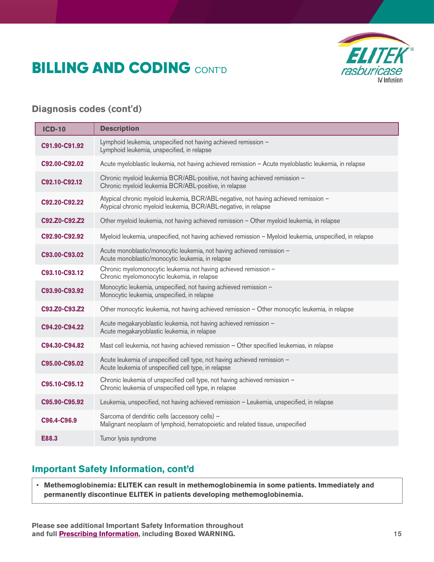# **BILLING AND CODING CONT'D**



### **Diagnosis codes (cont'd)**

| <b>ICD-10</b> | <b>Description</b>                                                                                                                                      |
|---------------|---------------------------------------------------------------------------------------------------------------------------------------------------------|
| C91.90-C91.92 | Lymphoid leukemia, unspecified not having achieved remission -<br>Lymphoid leukemia, unspecified, in relapse                                            |
| C92.00-C92.02 | Acute myeloblastic leukemia, not having achieved remission - Acute myeloblastic leukemia, in relapse                                                    |
| C92.10-C92.12 | Chronic myeloid leukemia BCR/ABL-positive, not having achieved remission -<br>Chronic myeloid leukemia BCR/ABL-positive, in relapse                     |
| C92.20-C92.22 | Atypical chronic myeloid leukemia, BCR/ABL-negative, not having achieved remission -<br>Atypical chronic myeloid leukemia, BCR/ABL-negative, in relapse |
| C92.Z0-C92.Z2 | Other myeloid leukemia, not having achieved remission - Other myeloid leukemia, in relapse                                                              |
| C92.90-C92.92 | Myeloid leukemia, unspecified, not having achieved remission - Myeloid leukemia, unspecified, in relapse                                                |
| C93.00-C93.02 | Acute monoblastic/monocytic leukemia, not having achieved remission -<br>Acute monoblastic/monocytic leukemia, in relapse                               |
| C93.10-C93.12 | Chronic myelomonocytic leukemia not having achieved remission -<br>Chronic myelomonocytic leukemia, in relapse                                          |
| C93.90-C93.92 | Monocytic leukemia, unspecified, not having achieved remission -<br>Monocytic leukemia, unspecified, in relapse                                         |
| C93.Z0-C93.Z2 | Other monocytic leukemia, not having achieved remission - Other monocytic leukemia, in relapse                                                          |
| C94.20-C94.22 | Acute megakaryoblastic leukemia, not having achieved remission -<br>Acute megakaryoblastic leukemia, in relapse                                         |
| C94.30-C94.82 | Mast cell leukemia, not having achieved remission - Other specified leukemias, in relapse                                                               |
| C95.00-C95.02 | Acute leukemia of unspecified cell type, not having achieved remission -<br>Acute leukemia of unspecified cell type, in relapse                         |
| C95.10-C95.12 | Chronic leukemia of unspecified cell type, not having achieved remission -<br>Chronic leukemia of unspecified cell type, in relapse                     |
| C95.90-C95.92 | Leukemia, unspecified, not having achieved remission - Leukemia, unspecified, in relapse                                                                |
| C96.4-C96.9   | Sarcoma of dendritic cells (accessory cells) -<br>Malignant neoplasm of lymphoid, hematopoietic and related tissue, unspecified                         |
| E88.3         | Tumor lysis syndrome                                                                                                                                    |

# **Important Safety Information, cont'd**

• **Methemoglobinemia: ELITEK can result in methemoglobinemia in some patients. Immediately and permanently discontinue ELITEK in patients developing methemoglobinemia.**